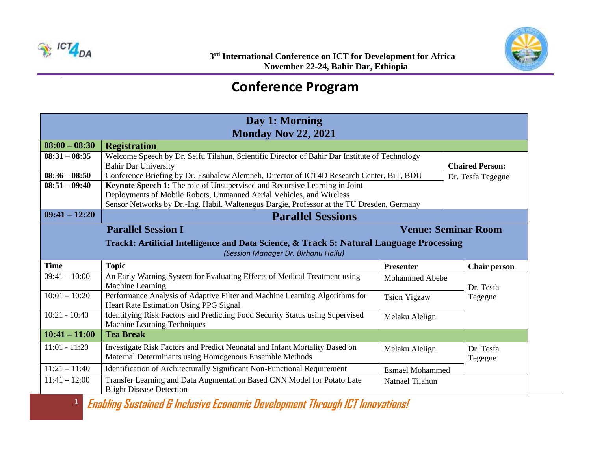

## **Conference Program**

| Day 1: Morning             |                                                                                               |                        |                            |  |  |  |
|----------------------------|-----------------------------------------------------------------------------------------------|------------------------|----------------------------|--|--|--|
| <b>Monday Nov 22, 2021</b> |                                                                                               |                        |                            |  |  |  |
| $08:00 - 08:30$            | <b>Registration</b>                                                                           |                        |                            |  |  |  |
| $08:31 - 08:35$            | Welcome Speech by Dr. Seifu Tilahun, Scientific Director of Bahir Dar Institute of Technology |                        |                            |  |  |  |
|                            | <b>Bahir Dar University</b>                                                                   |                        | <b>Chaired Person:</b>     |  |  |  |
| $08:36 - 08:50$            | Conference Briefing by Dr. Esubalew Alemneh, Director of ICT4D Research Center, BiT, BDU      |                        | Dr. Tesfa Tegegne          |  |  |  |
| $08:51 - 09:40$            | Keynote Speech 1: The role of Unsupervised and Recursive Learning in Joint                    |                        |                            |  |  |  |
|                            | Deployments of Mobile Robots, Unmanned Aerial Vehicles, and Wireless                          |                        |                            |  |  |  |
|                            | Sensor Networks by Dr.-Ing. Habil. Waltenegus Dargie, Professor at the TU Dresden, Germany    |                        |                            |  |  |  |
| $09:41 - 12:20$            | <b>Parallel Sessions</b>                                                                      |                        |                            |  |  |  |
|                            | <b>Parallel Session I</b>                                                                     |                        | <b>Venue: Seminar Room</b> |  |  |  |
|                            | Track1: Artificial Intelligence and Data Science, & Track 5: Natural Language Processing      |                        |                            |  |  |  |
|                            | (Session Manager Dr. Birhanu Hailu)                                                           |                        |                            |  |  |  |
| <b>Time</b>                | <b>Topic</b>                                                                                  | <b>Presenter</b>       | <b>Chair person</b>        |  |  |  |
| $09:41 - 10:00$            | An Early Warning System for Evaluating Effects of Medical Treatment using                     | <b>Mohammed Abebe</b>  |                            |  |  |  |
|                            | Machine Learning                                                                              |                        | Dr. Tesfa                  |  |  |  |
| $10:01 - 10:20$            | Performance Analysis of Adaptive Filter and Machine Learning Algorithms for                   | <b>Tsion Yigzaw</b>    | Tegegne                    |  |  |  |
|                            | Heart Rate Estimation Using PPG Signal                                                        |                        |                            |  |  |  |
| $10:21 - 10:40$            | Identifying Risk Factors and Predicting Food Security Status using Supervised                 | Melaku Alelign         |                            |  |  |  |
|                            | Machine Learning Techniques                                                                   |                        |                            |  |  |  |
| $10:41 - 11:00$            | <b>Tea Break</b>                                                                              |                        |                            |  |  |  |
| $11:01 - 11:20$            | Investigate Risk Factors and Predict Neonatal and Infant Mortality Based on                   | Melaku Alelign         | Dr. Tesfa                  |  |  |  |
|                            | Maternal Determinants using Homogenous Ensemble Methods                                       |                        |                            |  |  |  |
|                            |                                                                                               |                        | Tegegne                    |  |  |  |
| $11:21 - 11:40$            | Identification of Architecturally Significant Non-Functional Requirement                      | <b>Esmael Mohammed</b> |                            |  |  |  |
| $11:41 - 12:00$            | Transfer Learning and Data Augmentation Based CNN Model for Potato Late                       | Natnael Tilahun        |                            |  |  |  |

**Enabling Sustained & Inclusive Economic Development Through ICT Innovations!**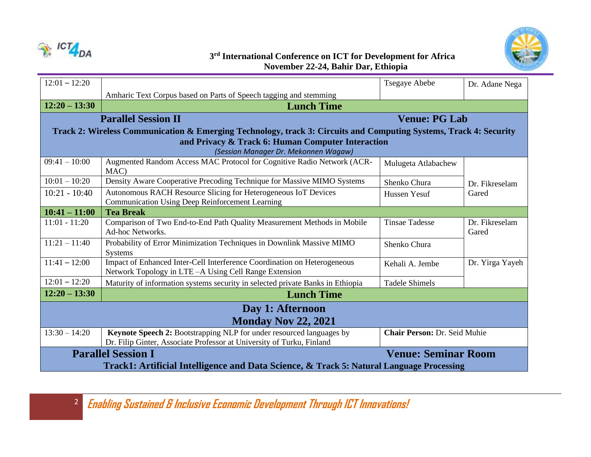



## **3 rd International Conference on ICT for Development for Africa November 22-24, Bahir Dar, Ethiopia**

| $12:01 - 12:20$                                                                          |                                                                                                                                               | Tsegaye Abebe                | Dr. Adane Nega          |  |  |  |
|------------------------------------------------------------------------------------------|-----------------------------------------------------------------------------------------------------------------------------------------------|------------------------------|-------------------------|--|--|--|
|                                                                                          | Amharic Text Corpus based on Parts of Speech tagging and stemming                                                                             |                              |                         |  |  |  |
| $12:20 - 13:30$                                                                          | <b>Lunch Time</b>                                                                                                                             |                              |                         |  |  |  |
|                                                                                          | <b>Venue: PG Lab</b><br><b>Parallel Session II</b>                                                                                            |                              |                         |  |  |  |
|                                                                                          | Track 2: Wireless Communication & Emerging Technology, track 3: Circuits and Computing Systems, Track 4: Security                             |                              |                         |  |  |  |
|                                                                                          | and Privacy & Track 6: Human Computer Interaction                                                                                             |                              |                         |  |  |  |
|                                                                                          | (Session Manager Dr. Mekonnen Wagaw)                                                                                                          |                              |                         |  |  |  |
| $09:41 - 10:00$                                                                          | Augmented Random Access MAC Protocol for Cognitive Radio Network (ACR-<br>MAC)                                                                | Mulugeta Atlabachew          |                         |  |  |  |
| $10:01 - 10:20$                                                                          | Density Aware Cooperative Precoding Technique for Massive MIMO Systems                                                                        | Shenko Chura                 | Dr. Fikreselam          |  |  |  |
| $10:21 - 10:40$                                                                          | Autonomous RACH Resource Slicing for Heterogeneous IoT Devices<br><b>Communication Using Deep Reinforcement Learning</b>                      | Hussen Yesuf                 | Gared                   |  |  |  |
| $10:41 - 11:00$                                                                          | <b>Tea Break</b>                                                                                                                              |                              |                         |  |  |  |
| $11:01 - 11:20$                                                                          | Comparison of Two End-to-End Path Quality Measurement Methods in Mobile<br>Ad-hoc Networks.                                                   | <b>Tinsae Tadesse</b>        | Dr. Fikreselam<br>Gared |  |  |  |
| $11:21 - 11:40$                                                                          | Probability of Error Minimization Techniques in Downlink Massive MIMO<br>Systems                                                              | Shenko Chura                 |                         |  |  |  |
| $11:41 - 12:00$                                                                          | Impact of Enhanced Inter-Cell Interference Coordination on Heterogeneous<br>Network Topology in LTE - A Using Cell Range Extension            | Kehali A. Jembe              | Dr. Yirga Yayeh         |  |  |  |
| $12:01 - 12:20$                                                                          | Maturity of information systems security in selected private Banks in Ethiopia                                                                | <b>Tadele Shimels</b>        |                         |  |  |  |
| $12:20 - 13:30$                                                                          | <b>Lunch Time</b>                                                                                                                             |                              |                         |  |  |  |
| Day 1: Afternoon                                                                         |                                                                                                                                               |                              |                         |  |  |  |
| <b>Monday Nov 22, 2021</b>                                                               |                                                                                                                                               |                              |                         |  |  |  |
| $13:30 - 14:20$                                                                          | Keynote Speech 2: Bootstrapping NLP for under resourced languages by<br>Dr. Filip Ginter, Associate Professor at University of Turku, Finland | Chair Person: Dr. Seid Muhie |                         |  |  |  |
|                                                                                          | <b>Parallel Session I</b><br><b>Venue: Seminar Room</b>                                                                                       |                              |                         |  |  |  |
| Track1: Artificial Intelligence and Data Science, & Track 5: Natural Language Processing |                                                                                                                                               |                              |                         |  |  |  |

2 **Enabling Sustained & Inclusive Economic Development Through ICT Innovations!**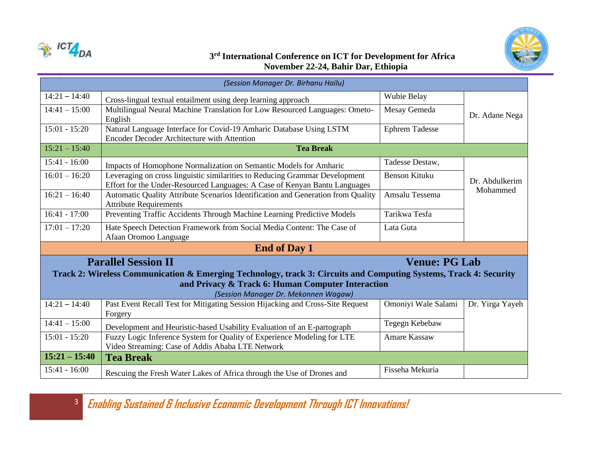



## **3 rd International Conference on ICT for Development for Africa November 22-24, Bahir Dar, Ethiopia**

| (Session Manager Dr. Birhanu Hailu)                                                                               |                                                                                           |                       |                            |  |  |
|-------------------------------------------------------------------------------------------------------------------|-------------------------------------------------------------------------------------------|-----------------------|----------------------------|--|--|
| $14:21 - 14:40$                                                                                                   | Cross-lingual textual entailment using deep learning approach                             | Wubie Belay           |                            |  |  |
| $14:41 - 15:00$                                                                                                   | Multilingual Neural Machine Translation for Low Resourced Languages: Ometo-               | Mesay Gemeda          | Dr. Adane Nega             |  |  |
|                                                                                                                   | English                                                                                   |                       |                            |  |  |
| $15:01 - 15:20$                                                                                                   | Natural Language Interface for Covid-19 Amharic Database Using LSTM                       | <b>Ephrem Tadesse</b> |                            |  |  |
|                                                                                                                   | Encoder Decoder Architecture with Attention                                               |                       |                            |  |  |
| $15:21 - 15:40$                                                                                                   | <b>Tea Break</b>                                                                          |                       |                            |  |  |
| $15:41 - 16:00$                                                                                                   | Impacts of Homophone Normalization on Semantic Models for Amharic                         | Tadesse Destaw,       |                            |  |  |
| $16:01 - 16:20$                                                                                                   | Leveraging on cross linguistic similarities to Reducing Grammar Development               | <b>Benson Kituku</b>  |                            |  |  |
|                                                                                                                   | Effort for the Under-Resourced Languages: A Case of Kenyan Bantu Languages                |                       | Dr. Abdulkerim<br>Mohammed |  |  |
| $16:21 - 16:40$                                                                                                   | Automatic Quality Attribute Scenarios Identification and Generation from Quality          | Amsalu Tessema        |                            |  |  |
|                                                                                                                   | <b>Attribute Requirements</b>                                                             |                       |                            |  |  |
| $16:41 - 17:00$                                                                                                   | Preventing Traffic Accidents Through Machine Learning Predictive Models                   | Tarikwa Tesfa         |                            |  |  |
| $17:01 - 17:20$                                                                                                   | Hate Speech Detection Framework from Social Media Content: The Case of                    | Lata Guta             |                            |  |  |
|                                                                                                                   | Afaan Oromoo Language                                                                     |                       |                            |  |  |
|                                                                                                                   | <b>End of Day 1</b>                                                                       |                       |                            |  |  |
|                                                                                                                   | <b>Parallel Session II</b>                                                                | <b>Venue: PG Lab</b>  |                            |  |  |
| Track 2: Wireless Communication & Emerging Technology, track 3: Circuits and Computing Systems, Track 4: Security |                                                                                           |                       |                            |  |  |
| and Privacy & Track 6: Human Computer Interaction                                                                 |                                                                                           |                       |                            |  |  |
| (Session Manager Dr. Mekonnen Wagaw)                                                                              |                                                                                           |                       |                            |  |  |
| $14:21 - 14:40$                                                                                                   | Past Event Recall Test for Mitigating Session Hijacking and Cross-Site Request<br>Forgery | Omoniyi Wale Salami   | Dr. Yirga Yayeh            |  |  |
| $14:41 - 15:00$                                                                                                   | Development and Heuristic-based Usability Evaluation of an E-partograph                   | Tegegn Kebebaw        |                            |  |  |
| $15:01 - 15:20$                                                                                                   | Fuzzy Logic Inference System for Quality of Experience Modeling for LTE                   | <b>Amare Kassaw</b>   |                            |  |  |
|                                                                                                                   | Video Streaming: Case of Addis Ababa LTE Network                                          |                       |                            |  |  |
| $15:21 - 15:40$                                                                                                   | <b>Tea Break</b>                                                                          |                       |                            |  |  |
| $15:41 - 16:00$                                                                                                   | Rescuing the Fresh Water Lakes of Africa through the Use of Drones and                    | Fisseha Mekuria       |                            |  |  |

3 **Enabling Sustained & Inclusive Economic Development Through ICT Innovations!**